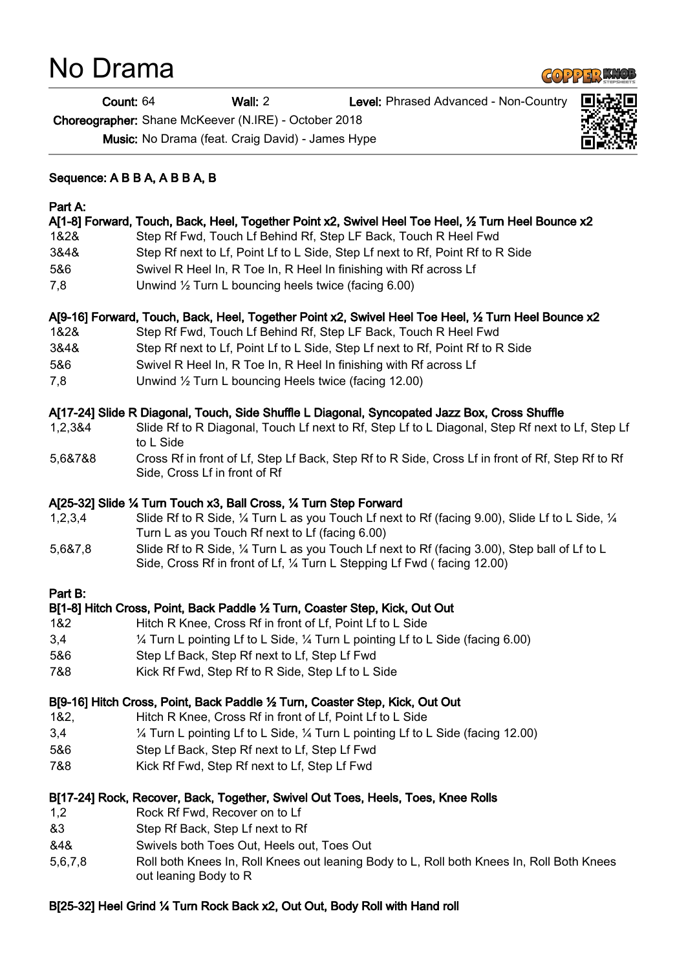# No Drama

## $G_0 225.0$

Count: 64 Wall: 2 Level: Phrased Advanced - Non-Country

Choreographer: Shane McKeever (N.IRE) - October 2018

Music: No Drama (feat. Craig David) - James Hype



## Part A:

#### A[1-8] Forward, Touch, Back, Heel, Together Point x2, Swivel Heel Toe Heel, ½ Turn Heel Bounce x2

- 1&2& Step Rf Fwd, Touch Lf Behind Rf, Step LF Back, Touch R Heel Fwd
- 3&4& Step Rf next to Lf, Point Lf to L Side, Step Lf next to Rf, Point Rf to R Side
- 5&6 Swivel R Heel In, R Toe In, R Heel In finishing with Rf across Lf
- 7,8 Unwind ½ Turn L bouncing heels twice (facing 6.00)

### A[9-16] Forward, Touch, Back, Heel, Together Point x2, Swivel Heel Toe Heel, ½ Turn Heel Bounce x2

- 1&2& Step Rf Fwd, Touch Lf Behind Rf, Step LF Back, Touch R Heel Fwd
- 3&4& Step Rf next to Lf, Point Lf to L Side, Step Lf next to Rf, Point Rf to R Side
- 5&6 Swivel R Heel In, R Toe In, R Heel In finishing with Rf across Lf
- 7,8 Unwind ½ Turn L bouncing Heels twice (facing 12.00)

## A[17-24] Slide R Diagonal, Touch, Side Shuffle L Diagonal, Syncopated Jazz Box, Cross Shuffle

- 1,2,3&4 Slide Rf to R Diagonal, Touch Lf next to Rf, Step Lf to L Diagonal, Step Rf next to Lf, Step Lf to L Side
- 5,6&7&8 Cross Rf in front of Lf, Step Lf Back, Step Rf to R Side, Cross Lf in front of Rf, Step Rf to Rf Side, Cross Lf in front of Rf

## A[25-32] Slide ¼ Turn Touch x3, Ball Cross, ¼ Turn Step Forward

- 1,2,3,4 Slide Rf to R Side, ¼ Turn L as you Touch Lf next to Rf (facing 9.00), Slide Lf to L Side, ¼ Turn L as you Touch Rf next to Lf (facing 6.00)
- 5,6&7,8 Slide Rf to R Side, ¼ Turn L as you Touch Lf next to Rf (facing 3.00), Step ball of Lf to L Side, Cross Rf in front of Lf, ¼ Turn L Stepping Lf Fwd ( facing 12.00)

### Part B:

## B[1-8] Hitch Cross, Point, Back Paddle ½ Turn, Coaster Step, Kick, Out Out

- 1&2 Hitch R Knee, Cross Rf in front of Lf, Point Lf to L Side
- 3,4 ¼ Turn L pointing Lf to L Side, ¼ Turn L pointing Lf to L Side (facing 6.00)
- 5&6 Step Lf Back, Step Rf next to Lf, Step Lf Fwd
- 7&8 Kick Rf Fwd, Step Rf to R Side, Step Lf to L Side

### B[9-16] Hitch Cross, Point, Back Paddle ½ Turn, Coaster Step, Kick, Out Out

- 1&2, Hitch R Knee, Cross Rf in front of Lf, Point Lf to L Side
- 3,4 ¼ Turn L pointing Lf to L Side, ¼ Turn L pointing Lf to L Side (facing 12.00)
- 5&6 Step Lf Back, Step Rf next to Lf, Step Lf Fwd
- 7&8 Kick Rf Fwd, Step Rf next to Lf, Step Lf Fwd

### B[17-24] Rock, Recover, Back, Together, Swivel Out Toes, Heels, Toes, Knee Rolls

- 1,2 Rock Rf Fwd, Recover on to Lf
- &3 Step Rf Back, Step Lf next to Rf
- &4& Swivels both Toes Out, Heels out, Toes Out
- 5,6,7,8 Roll both Knees In, Roll Knees out leaning Body to L, Roll both Knees In, Roll Both Knees out leaning Body to R

## B[25-32] Heel Grind ¼ Turn Rock Back x2, Out Out, Body Roll with Hand roll